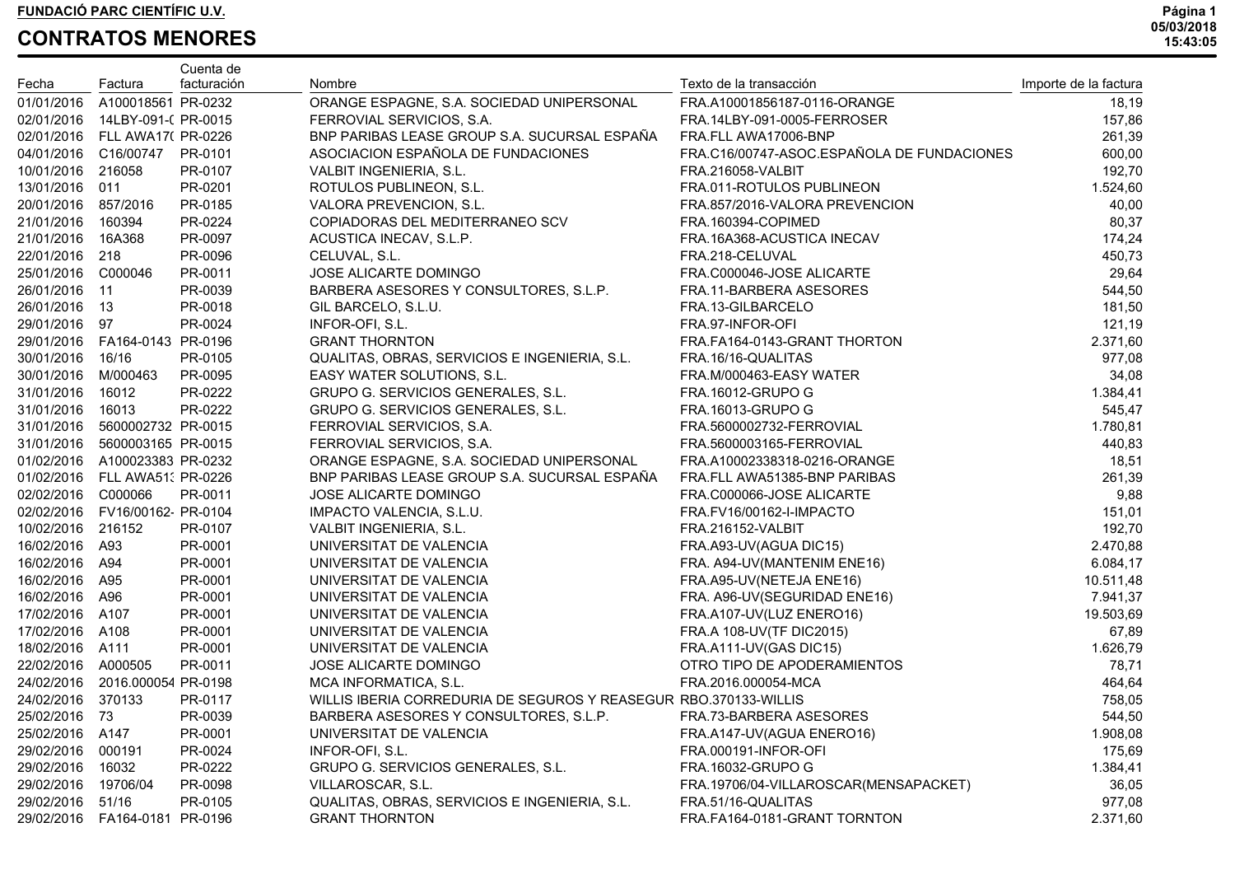| Fecha               | Factura                         | Cuenta de<br>facturación | Nombre                                                           | Texto de la transacción                    | Importe de la factura |
|---------------------|---------------------------------|--------------------------|------------------------------------------------------------------|--------------------------------------------|-----------------------|
| 01/01/2016          | A100018561 PR-0232              |                          | ORANGE ESPAGNE, S.A. SOCIEDAD UNIPERSONAL                        | FRA.A10001856187-0116-ORANGE               | 18,19                 |
|                     | 02/01/2016  14LBY-091-( PR-0015 |                          | FERROVIAL SERVICIOS, S.A.                                        | FRA.14LBY-091-0005-FERROSER                | 157,86                |
|                     | 02/01/2016 FLL AWA17(PR-0226    |                          | BNP PARIBAS LEASE GROUP S.A. SUCURSAL ESPAÑA                     | FRA.FLL AWA17006-BNP                       | 261,39                |
|                     | 04/01/2016 C16/00747            | PR-0101                  | ASOCIACION ESPAÑOLA DE FUNDACIONES                               | FRA.C16/00747-ASOC.ESPAÑOLA DE FUNDACIONES | 600,00                |
| 10/01/2016 216058   |                                 | PR-0107                  | VALBIT INGENIERIA, S.L.                                          | <b>FRA.216058-VALBIT</b>                   | 192,70                |
| 13/01/2016 011      |                                 | PR-0201                  | ROTULOS PUBLINEON, S.L.                                          | FRA.011-ROTULOS PUBLINEON                  | 1.524,60              |
| 20/01/2016 857/2016 |                                 | PR-0185                  | VALORA PREVENCION, S.L.                                          | FRA.857/2016-VALORA PREVENCION             | 40,00                 |
| 21/01/2016 160394   |                                 | PR-0224                  | COPIADORAS DEL MEDITERRANEO SCV                                  | FRA.160394-COPIMED                         | 80,37                 |
| 21/01/2016 16A368   |                                 | PR-0097                  | ACUSTICA INECAV, S.L.P.                                          | FRA.16A368-ACUSTICA INECAV                 | 174,24                |
| 22/01/2016 218      |                                 | PR-0096                  | CELUVAL, S.L.                                                    | FRA.218-CELUVAL                            | 450,73                |
| 25/01/2016 C000046  |                                 | PR-0011                  | JOSE ALICARTE DOMINGO                                            | FRA.C000046-JOSE ALICARTE                  | 29,64                 |
| 26/01/2016 11       |                                 | PR-0039                  | BARBERA ASESORES Y CONSULTORES, S.L.P.                           | FRA.11-BARBERA ASESORES                    | 544,50                |
| 26/01/2016 13       |                                 | PR-0018                  | GIL BARCELO, S.L.U.                                              | FRA.13-GILBARCELO                          | 181,50                |
| 29/01/2016 97       |                                 | PR-0024                  | INFOR-OFI, S.L.                                                  | FRA.97-INFOR-OFI                           | 121,19                |
|                     | 29/01/2016  FA164-0143  PR-0196 |                          | <b>GRANT THORNTON</b>                                            | FRA.FA164-0143-GRANT THORTON               | 2.371,60              |
| 30/01/2016 16/16    |                                 | PR-0105                  | QUALITAS, OBRAS, SERVICIOS E INGENIERIA, S.L.                    | FRA.16/16-QUALITAS                         | 977,08                |
| 30/01/2016 M/000463 |                                 | PR-0095                  | EASY WATER SOLUTIONS, S.L.                                       | FRA.M/000463-EASY WATER                    | 34,08                 |
| 31/01/2016 16012    |                                 | PR-0222                  | GRUPO G. SERVICIOS GENERALES, S.L.                               | <b>FRA.16012-GRUPO G</b>                   | 1.384,41              |
| 31/01/2016 16013    |                                 | PR-0222                  | GRUPO G. SERVICIOS GENERALES, S.L.                               | FRA.16013-GRUPO G                          | 545,47                |
|                     | 31/01/2016 5600002732 PR-0015   |                          | FERROVIAL SERVICIOS, S.A.                                        | FRA.5600002732-FERROVIAL                   | 1.780,81              |
|                     | 31/01/2016 5600003165 PR-0015   |                          | FERROVIAL SERVICIOS, S.A.                                        | FRA.5600003165-FERROVIAL                   | 440,83                |
|                     | 01/02/2016 A100023383 PR-0232   |                          | ORANGE ESPAGNE, S.A. SOCIEDAD UNIPERSONAL                        | FRA.A10002338318-0216-ORANGE               | 18,51                 |
|                     | 01/02/2016 FLL AWA51: PR-0226   |                          | BNP PARIBAS LEASE GROUP S.A. SUCURSAL ESPAÑA                     | FRA.FLL AWA51385-BNP PARIBAS               | 261,39                |
| 02/02/2016 C000066  |                                 | PR-0011                  | JOSE ALICARTE DOMINGO                                            | FRA.C000066-JOSE ALICARTE                  | 9,88                  |
|                     | 02/02/2016 FV16/00162 PR-0104   |                          | IMPACTO VALENCIA, S.L.U.                                         | FRA.FV16/00162-I-IMPACTO                   | 151,01                |
| 10/02/2016 216152   |                                 | PR-0107                  | VALBIT INGENIERIA, S.L.                                          | <b>FRA.216152-VALBIT</b>                   | 192,70                |
| 16/02/2016 A93      |                                 | PR-0001                  | UNIVERSITAT DE VALENCIA                                          | FRA.A93-UV(AGUA DIC15)                     | 2.470,88              |
| 16/02/2016 A94      |                                 | PR-0001                  | UNIVERSITAT DE VALENCIA                                          | FRA. A94-UV(MANTENIM ENE16)                | 6.084,17              |
| 16/02/2016 A95      |                                 | PR-0001                  | UNIVERSITAT DE VALENCIA                                          | FRA.A95-UV(NETEJA ENE16)                   | 10.511,48             |
| 16/02/2016 A96      |                                 | PR-0001                  | UNIVERSITAT DE VALENCIA                                          | FRA. A96-UV(SEGURIDAD ENE16)               | 7.941,37              |
| 17/02/2016 A107     |                                 | PR-0001                  | UNIVERSITAT DE VALENCIA                                          | FRA.A107-UV(LUZ ENERO16)                   | 19.503,69             |
| 17/02/2016 A108     |                                 | PR-0001                  | UNIVERSITAT DE VALENCIA                                          | FRA.A 108-UV(TF DIC2015)                   | 67,89                 |
| 18/02/2016 A111     |                                 | PR-0001                  | UNIVERSITAT DE VALENCIA                                          | FRA.A111-UV(GAS DIC15)                     | 1.626,79              |
| 22/02/2016 A000505  |                                 | PR-0011                  | JOSE ALICARTE DOMINGO                                            | OTRO TIPO DE APODERAMIENTOS                | 78,71                 |
|                     | 24/02/2016 2016.000054 PR-0198  |                          | MCA INFORMATICA, S.L.                                            | FRA.2016.000054-MCA                        | 464,64                |
| 24/02/2016 370133   |                                 | PR-0117                  | WILLIS IBERIA CORREDURIA DE SEGUROS Y REASEGUR RBO.370133-WILLIS |                                            | 758,05                |
| 25/02/2016 73       |                                 | PR-0039                  | BARBERA ASESORES Y CONSULTORES, S.L.P.                           | FRA.73-BARBERA ASESORES                    | 544,50                |
| 25/02/2016 A147     |                                 | PR-0001                  | UNIVERSITAT DE VALENCIA                                          | FRA.A147-UV(AGUA ENERO16)                  | 1.908,08              |
| 29/02/2016          | 000191                          | PR-0024                  | INFOR-OFI, S.L.                                                  | FRA.000191-INFOR-OFI                       | 175,69                |
| 29/02/2016          | 16032                           | PR-0222                  | GRUPO G. SERVICIOS GENERALES, S.L.                               | FRA.16032-GRUPO G                          | 1.384,41              |
| 29/02/2016          | 19706/04                        | PR-0098                  | VILLAROSCAR, S.L.                                                | FRA.19706/04-VILLAROSCAR(MENSAPACKET)      | 36,05                 |
| 29/02/2016          | 51/16                           | PR-0105                  | QUALITAS, OBRAS, SERVICIOS E INGENIERIA, S.L.                    | FRA.51/16-QUALITAS                         | 977,08                |
| 29/02/2016          | FA164-0181 PR-0196              |                          | <b>GRANT THORNTON</b>                                            | FRA.FA164-0181-GRANT TORNTON               | 2.371,60              |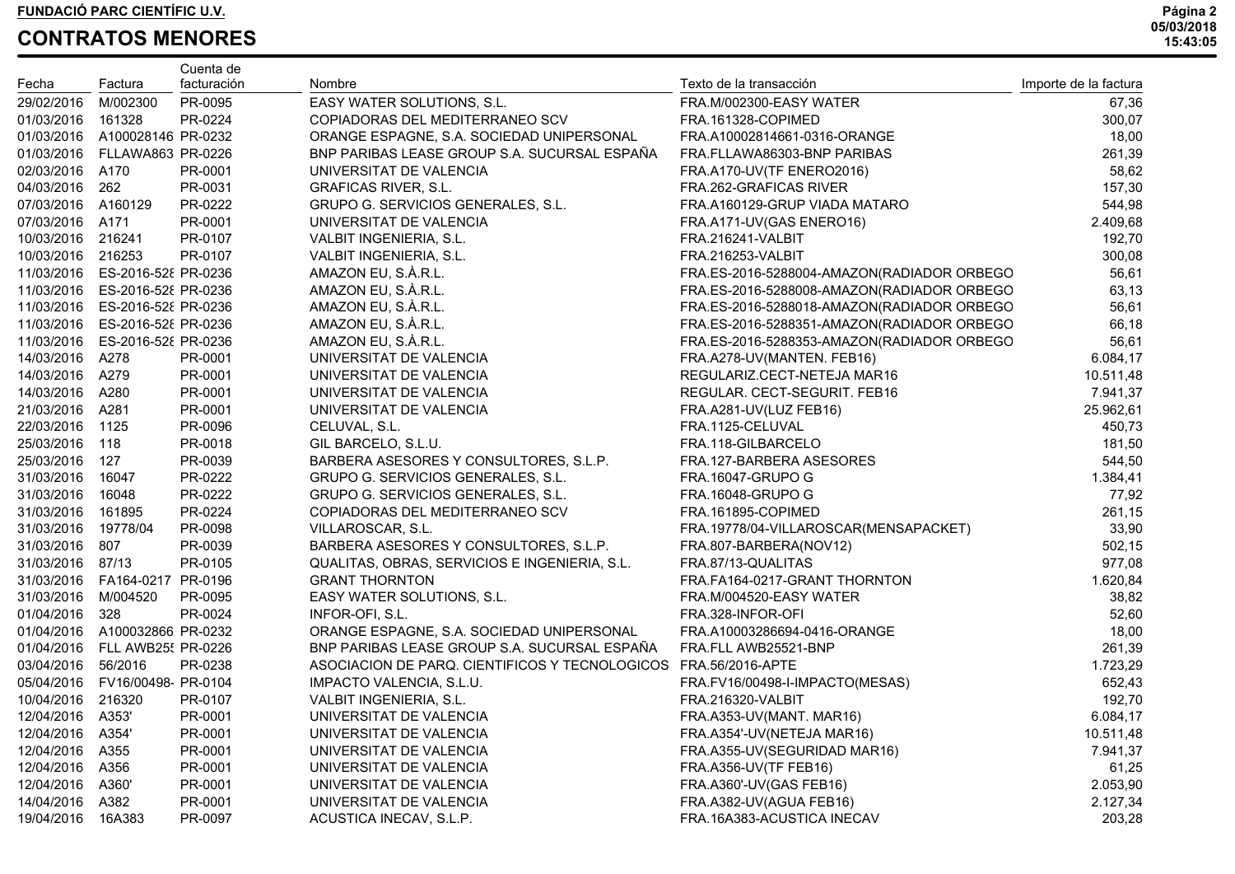|                     |                                | Cuenta de   |                                                |                                            |                       |
|---------------------|--------------------------------|-------------|------------------------------------------------|--------------------------------------------|-----------------------|
| Fecha               | Factura                        | facturación | Nombre                                         | Texto de la transacción                    | Importe de la factura |
| 29/02/2016          | M/002300                       | PR-0095     | EASY WATER SOLUTIONS, S.L.                     | FRA.M/002300-EASY WATER                    | 67,36                 |
| 01/03/2016          | 161328                         | PR-0224     | COPIADORAS DEL MEDITERRANEO SCV                | FRA.161328-COPIMED                         | 300,07                |
|                     | 01/03/2016 A100028146 PR-0232  |             | ORANGE ESPAGNE, S.A. SOCIEDAD UNIPERSONAL      | FRA.A10002814661-0316-ORANGE               | 18,00                 |
|                     | 01/03/2016 FLLAWA863 PR-0226   |             | BNP PARIBAS LEASE GROUP S.A. SUCURSAL ESPAÑA   | FRA.FLLAWA86303-BNP PARIBAS                | 261,39                |
| 02/03/2016 A170     |                                | PR-0001     | UNIVERSITAT DE VALENCIA                        | FRA.A170-UV(TF ENERO2016)                  | 58,62                 |
| 04/03/2016 262      |                                | PR-0031     | <b>GRAFICAS RIVER, S.L.</b>                    | FRA.262-GRAFICAS RIVER                     | 157,30                |
| 07/03/2016 A160129  |                                | PR-0222     | GRUPO G. SERVICIOS GENERALES, S.L.             | FRA.A160129-GRUP VIADA MATARO              | 544,98                |
| 07/03/2016 A171     |                                | PR-0001     | UNIVERSITAT DE VALENCIA                        | FRA.A171-UV(GAS ENERO16)                   | 2.409,68              |
| 10/03/2016 216241   |                                | PR-0107     | VALBIT INGENIERIA, S.L.                        | FRA.216241-VALBIT                          | 192,70                |
| 10/03/2016 216253   |                                | PR-0107     | VALBIT INGENIERIA, S.L.                        | <b>FRA.216253-VALBIT</b>                   | 300,08                |
|                     | 11/03/2016 ES-2016-528 PR-0236 |             | AMAZON EU, S.À.R.L.                            | FRA.ES-2016-5288004-AMAZON(RADIADOR ORBEGO | 56,61                 |
|                     | 11/03/2016 ES-2016-528 PR-0236 |             | AMAZON EU, S.À.R.L.                            | FRA.ES-2016-5288008-AMAZON(RADIADOR ORBEGO | 63,13                 |
|                     | 11/03/2016 ES-2016-52 PR-0236  |             | AMAZON EU, S.À.R.L.                            | FRA.ES-2016-5288018-AMAZON(RADIADOR ORBEGO | 56,61                 |
|                     | 11/03/2016 ES-2016-528 PR-0236 |             | AMAZON EU, S.À.R.L.                            | FRA.ES-2016-5288351-AMAZON(RADIADOR ORBEGO | 66,18                 |
|                     | 11/03/2016 ES-2016-528 PR-0236 |             | AMAZON EU, S.À.R.L.                            | FRA.ES-2016-5288353-AMAZON(RADIADOR ORBEGO | 56,61                 |
| 14/03/2016 A278     |                                | PR-0001     | UNIVERSITAT DE VALENCIA                        | FRA.A278-UV(MANTEN. FEB16)                 | 6.084,17              |
| 14/03/2016 A279     |                                | PR-0001     | UNIVERSITAT DE VALENCIA                        | REGULARIZ.CECT-NETEJA MAR16                | 10.511,48             |
| 14/03/2016 A280     |                                | PR-0001     | UNIVERSITAT DE VALENCIA                        | REGULAR. CECT-SEGURIT. FEB16               | 7.941,37              |
| 21/03/2016 A281     |                                | PR-0001     | UNIVERSITAT DE VALENCIA                        | FRA.A281-UV(LUZ FEB16)                     | 25.962,61             |
| 22/03/2016 1125     |                                | PR-0096     | CELUVAL, S.L.                                  | FRA.1125-CELUVAL                           | 450,73                |
| 25/03/2016 118      |                                | PR-0018     | GIL BARCELO, S.L.U.                            | FRA.118-GILBARCELO                         | 181,50                |
| 25/03/2016 127      |                                | PR-0039     | BARBERA ASESORES Y CONSULTORES, S.L.P.         | FRA.127-BARBERA ASESORES                   | 544,50                |
| 31/03/2016 16047    |                                | PR-0222     | GRUPO G. SERVICIOS GENERALES, S.L.             | <b>FRA.16047-GRUPO G</b>                   | 1.384,41              |
| 31/03/2016 16048    |                                | PR-0222     | GRUPO G. SERVICIOS GENERALES, S.L.             | FRA.16048-GRUPO G                          | 77,92                 |
| 31/03/2016 161895   |                                | PR-0224     | COPIADORAS DEL MEDITERRANEO SCV                | FRA.161895-COPIMED                         | 261,15                |
| 31/03/2016          | 19778/04                       | PR-0098     | VILLAROSCAR, S.L.                              | FRA.19778/04-VILLAROSCAR(MENSAPACKET)      | 33,90                 |
| 31/03/2016 807      |                                | PR-0039     | BARBERA ASESORES Y CONSULTORES, S.L.P.         | FRA.807-BARBERA(NOV12)                     | 502,15                |
| 31/03/2016 87/13    |                                | PR-0105     | QUALITAS, OBRAS, SERVICIOS E INGENIERIA, S.L.  | FRA.87/13-QUALITAS                         | 977,08                |
|                     | 31/03/2016  FA164-0217         | PR-0196     | <b>GRANT THORNTON</b>                          | FRA.FA164-0217-GRANT THORNTON              | 1.620,84              |
| 31/03/2016 M/004520 |                                | PR-0095     | EASY WATER SOLUTIONS, S.L.                     | FRA.M/004520-EASY WATER                    | 38,82                 |
| 01/04/2016 328      |                                | PR-0024     | INFOR-OFI, S.L.                                | FRA.328-INFOR-OFI                          | 52,60                 |
|                     | 01/04/2016 A100032866 PR-0232  |             | ORANGE ESPAGNE, S.A. SOCIEDAD UNIPERSONAL      | FRA.A10003286694-0416-ORANGE               | 18,00                 |
|                     | 01/04/2016 FLL AWB25! PR-0226  |             | BNP PARIBAS LEASE GROUP S.A. SUCURSAL ESPAÑA   | FRA.FLL AWB25521-BNP                       | 261,39                |
| 03/04/2016 56/2016  |                                | PR-0238     | ASOCIACION DE PARQ. CIENTIFICOS Y TECNOLOGICOS | FRA.56/2016-APTE                           | 1.723,29              |
|                     | 05/04/2016 FV16/00498 PR-0104  |             | IMPACTO VALENCIA, S.L.U.                       | FRA.FV16/00498-I-IMPACTO(MESAS)            | 652,43                |
| 10/04/2016 216320   |                                | PR-0107     | VALBIT INGENIERIA, S.L.                        | FRA.216320-VALBIT                          | 192,70                |
| 12/04/2016 A353'    |                                | PR-0001     | UNIVERSITAT DE VALENCIA                        | FRA.A353-UV(MANT. MAR16)                   | 6.084,17              |
| 12/04/2016          | A354'                          | PR-0001     | UNIVERSITAT DE VALENCIA                        | FRA.A354'-UV(NETEJA MAR16)                 | 10.511,48             |
| 12/04/2016          | A355                           | PR-0001     | UNIVERSITAT DE VALENCIA                        | FRA.A355-UV(SEGURIDAD MAR16)               | 7.941,37              |
| 12/04/2016          | A356                           | PR-0001     | UNIVERSITAT DE VALENCIA                        | FRA.A356-UV(TF FEB16)                      | 61,25                 |
| 12/04/2016          | A360'                          | PR-0001     | UNIVERSITAT DE VALENCIA                        | FRA.A360'-UV(GAS FEB16)                    | 2.053,90              |
| 14/04/2016          | A382                           | PR-0001     | UNIVERSITAT DE VALENCIA                        | FRA.A382-UV(AGUA FEB16)                    | 2.127,34              |
| 19/04/2016          | 16A383                         | PR-0097     | ACUSTICA INECAV, S.L.P.                        | FRA.16A383-ACUSTICA INECAV                 | 203,28                |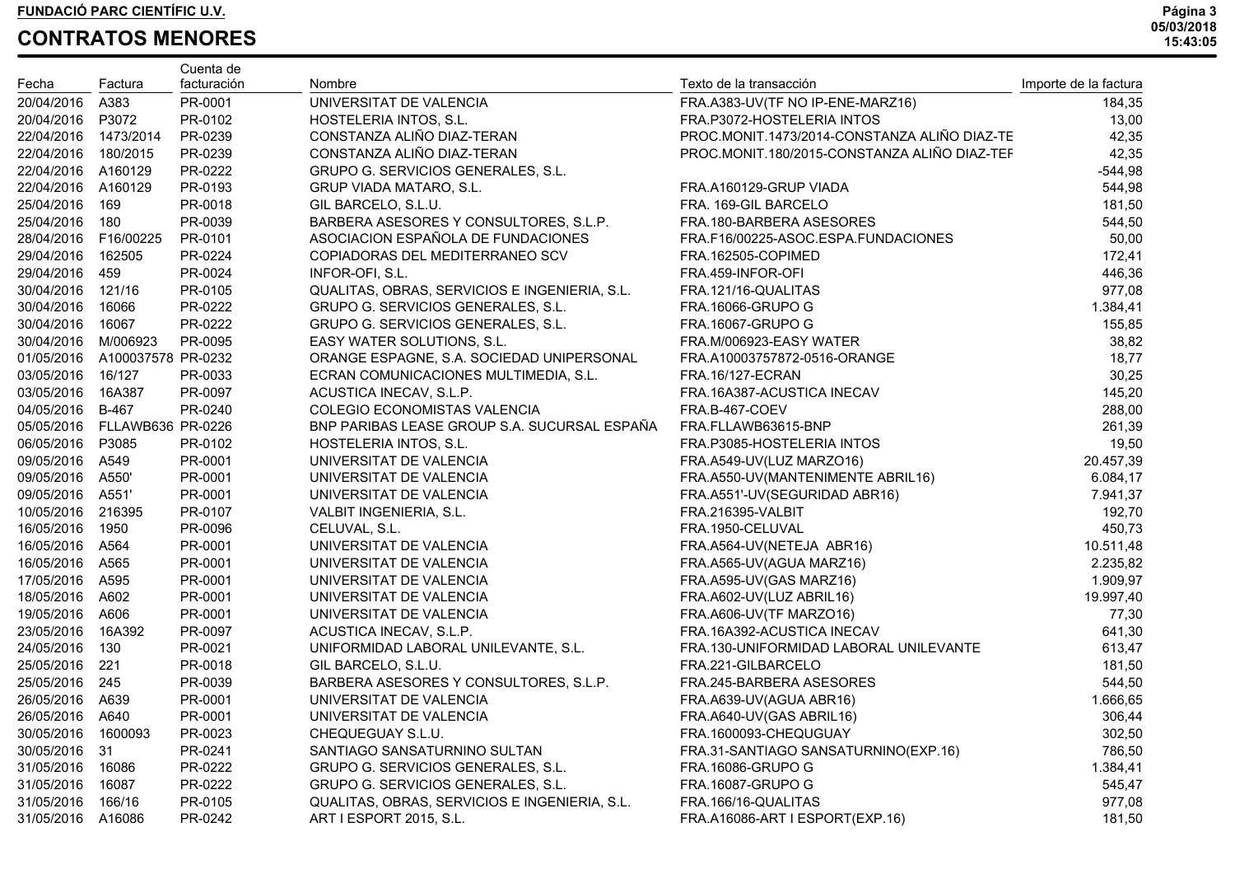|                       |                              | Cuenta de   |                                               |                                              |                       |
|-----------------------|------------------------------|-------------|-----------------------------------------------|----------------------------------------------|-----------------------|
| Fecha                 | Factura                      | facturación | Nombre                                        | Texto de la transacción                      | Importe de la factura |
| 20/04/2016            | A383                         | PR-0001     | UNIVERSITAT DE VALENCIA                       | FRA.A383-UV(TF NO IP-ENE-MARZ16)             | 184,35                |
| 20/04/2016            | P3072                        | PR-0102     | HOSTELERIA INTOS, S.L.                        | FRA.P3072-HOSTELERIA INTOS                   | 13,00                 |
| 22/04/2016            | 1473/2014                    | PR-0239     | CONSTANZA ALIÑO DIAZ-TERAN                    | PROC.MONIT.1473/2014-CONSTANZA ALIÑO DIAZ-TE | 42,35                 |
| 22/04/2016            | 180/2015                     | PR-0239     | CONSTANZA ALIÑO DIAZ-TERAN                    | PROC.MONIT.180/2015-CONSTANZA ALIÑO DIAZ-TEF | 42,35                 |
| 22/04/2016 A160129    |                              | PR-0222     | GRUPO G. SERVICIOS GENERALES, S.L.            |                                              | $-544,98$             |
| 22/04/2016 A160129    |                              | PR-0193     | GRUP VIADA MATARO, S.L.                       | FRA.A160129-GRUP VIADA                       | 544,98                |
| 25/04/2016            | 169                          | PR-0018     | GIL BARCELO, S.L.U.                           | FRA. 169-GIL BARCELO                         | 181,50                |
| 25/04/2016            | 180                          | PR-0039     | BARBERA ASESORES Y CONSULTORES, S.L.P.        | FRA.180-BARBERA ASESORES                     | 544,50                |
| 28/04/2016  F16/00225 |                              | PR-0101     | ASOCIACION ESPAÑOLA DE FUNDACIONES            | FRA.F16/00225-ASOC.ESPA.FUNDACIONES          | 50,00                 |
| 29/04/2016            | 162505                       | PR-0224     | COPIADORAS DEL MEDITERRANEO SCV               | FRA.162505-COPIMED                           | 172,41                |
| 29/04/2016            | 459                          | PR-0024     | INFOR-OFI, S.L.                               | FRA.459-INFOR-OFI                            | 446,36                |
| 30/04/2016            | 121/16                       | PR-0105     | QUALITAS, OBRAS, SERVICIOS E INGENIERIA, S.L. | FRA.121/16-QUALITAS                          | 977,08                |
| 30/04/2016            | 16066                        | PR-0222     | GRUPO G. SERVICIOS GENERALES, S.L.            | <b>FRA.16066-GRUPO G</b>                     | 1.384,41              |
| 30/04/2016            | 16067                        | PR-0222     | GRUPO G. SERVICIOS GENERALES, S.L.            | <b>FRA.16067-GRUPO G</b>                     | 155,85                |
| 30/04/2016            | M/006923                     | PR-0095     | EASY WATER SOLUTIONS, S.L.                    | FRA.M/006923-EASY WATER                      | 38,82                 |
| 01/05/2016            | A100037578 PR-0232           |             | ORANGE ESPAGNE, S.A. SOCIEDAD UNIPERSONAL     | FRA.A10003757872-0516-ORANGE                 | 18,77                 |
| 03/05/2016            | 16/127                       | PR-0033     | ECRAN COMUNICACIONES MULTIMEDIA, S.L.         | FRA.16/127-ECRAN                             | 30,25                 |
| 03/05/2016            | 16A387                       | PR-0097     | ACUSTICA INECAV, S.L.P.                       | FRA.16A387-ACUSTICA INECAV                   | 145,20                |
| 04/05/2016 B-467      |                              | PR-0240     | COLEGIO ECONOMISTAS VALENCIA                  | FRA.B-467-COEV                               | 288,00                |
|                       | 05/05/2016 FLLAWB636 PR-0226 |             | BNP PARIBAS LEASE GROUP S.A. SUCURSAL ESPAÑA  | FRA.FLLAWB63615-BNP                          | 261,39                |
| 06/05/2016 P3085      |                              | PR-0102     | HOSTELERIA INTOS, S.L.                        | FRA.P3085-HOSTELERIA INTOS                   | 19,50                 |
| 09/05/2016 A549       |                              | PR-0001     | UNIVERSITAT DE VALENCIA                       | FRA.A549-UV(LUZ MARZO16)                     | 20.457,39             |
| 09/05/2016 A550'      |                              | PR-0001     | UNIVERSITAT DE VALENCIA                       | FRA.A550-UV(MANTENIMENTE ABRIL16)            | 6.084,17              |
| 09/05/2016 A551'      |                              | PR-0001     | UNIVERSITAT DE VALENCIA                       | FRA.A551'-UV(SEGURIDAD ABR16)                | 7.941,37              |
| 10/05/2016 216395     |                              | PR-0107     | VALBIT INGENIERIA, S.L.                       | <b>FRA.216395-VALBIT</b>                     | 192,70                |
| 16/05/2016            | 1950                         | PR-0096     | CELUVAL, S.L.                                 | FRA.1950-CELUVAL                             | 450,73                |
| 16/05/2016 A564       |                              | PR-0001     | UNIVERSITAT DE VALENCIA                       | FRA.A564-UV(NETEJA ABR16)                    | 10.511,48             |
| 16/05/2016            | A565                         | PR-0001     | UNIVERSITAT DE VALENCIA                       | FRA.A565-UV(AGUA MARZ16)                     | 2.235,82              |
| 17/05/2016            | A595                         | PR-0001     | UNIVERSITAT DE VALENCIA                       | FRA.A595-UV(GAS MARZ16)                      | 1.909,97              |
| 18/05/2016            | A602                         | PR-0001     | UNIVERSITAT DE VALENCIA                       | FRA.A602-UV(LUZ ABRIL16)                     | 19.997,40             |
| 19/05/2016            | A606                         | PR-0001     | UNIVERSITAT DE VALENCIA                       | FRA.A606-UV(TF MARZO16)                      | 77,30                 |
| 23/05/2016            | 16A392                       | PR-0097     | ACUSTICA INECAV, S.L.P.                       | FRA.16A392-ACUSTICA INECAV                   | 641,30                |
| 24/05/2016            | 130                          | PR-0021     | UNIFORMIDAD LABORAL UNILEVANTE, S.L.          | FRA.130-UNIFORMIDAD LABORAL UNILEVANTE       | 613,47                |
| 25/05/2016            | 221                          | PR-0018     | GIL BARCELO, S.L.U.                           | FRA.221-GILBARCELO                           | 181,50                |
| 25/05/2016            | 245                          | PR-0039     | BARBERA ASESORES Y CONSULTORES, S.L.P.        | FRA.245-BARBERA ASESORES                     | 544,50                |
| 26/05/2016 A639       |                              | PR-0001     | UNIVERSITAT DE VALENCIA                       | FRA.A639-UV(AGUA ABR16)                      | 1.666,65              |
| 26/05/2016 A640       |                              | PR-0001     | UNIVERSITAT DE VALENCIA                       | FRA.A640-UV(GAS ABRIL16)                     | 306,44                |
| 30/05/2016            | 1600093                      | PR-0023     | CHEQUEGUAY S.L.U.                             | FRA.1600093-CHEQUGUAY                        | 302,50                |
| 30/05/2016 31         |                              | PR-0241     | SANTIAGO SANSATURNINO SULTAN                  | FRA.31-SANTIAGO SANSATURNINO(EXP.16)         | 786,50                |
| 31/05/2016            | 16086                        | PR-0222     | GRUPO G. SERVICIOS GENERALES, S.L.            | <b>FRA.16086-GRUPO G</b>                     | 1.384,41              |
| 31/05/2016            | 16087                        | PR-0222     | GRUPO G. SERVICIOS GENERALES, S.L.            | FRA.16087-GRUPO G                            | 545,47                |
| 31/05/2016            | 166/16                       | PR-0105     | QUALITAS, OBRAS, SERVICIOS E INGENIERIA, S.L. | FRA.166/16-QUALITAS                          | 977,08                |
| 31/05/2016 A16086     |                              | PR-0242     | ART I ESPORT 2015, S.L.                       | FRA.A16086-ART I ESPORT(EXP.16)              | 181,50                |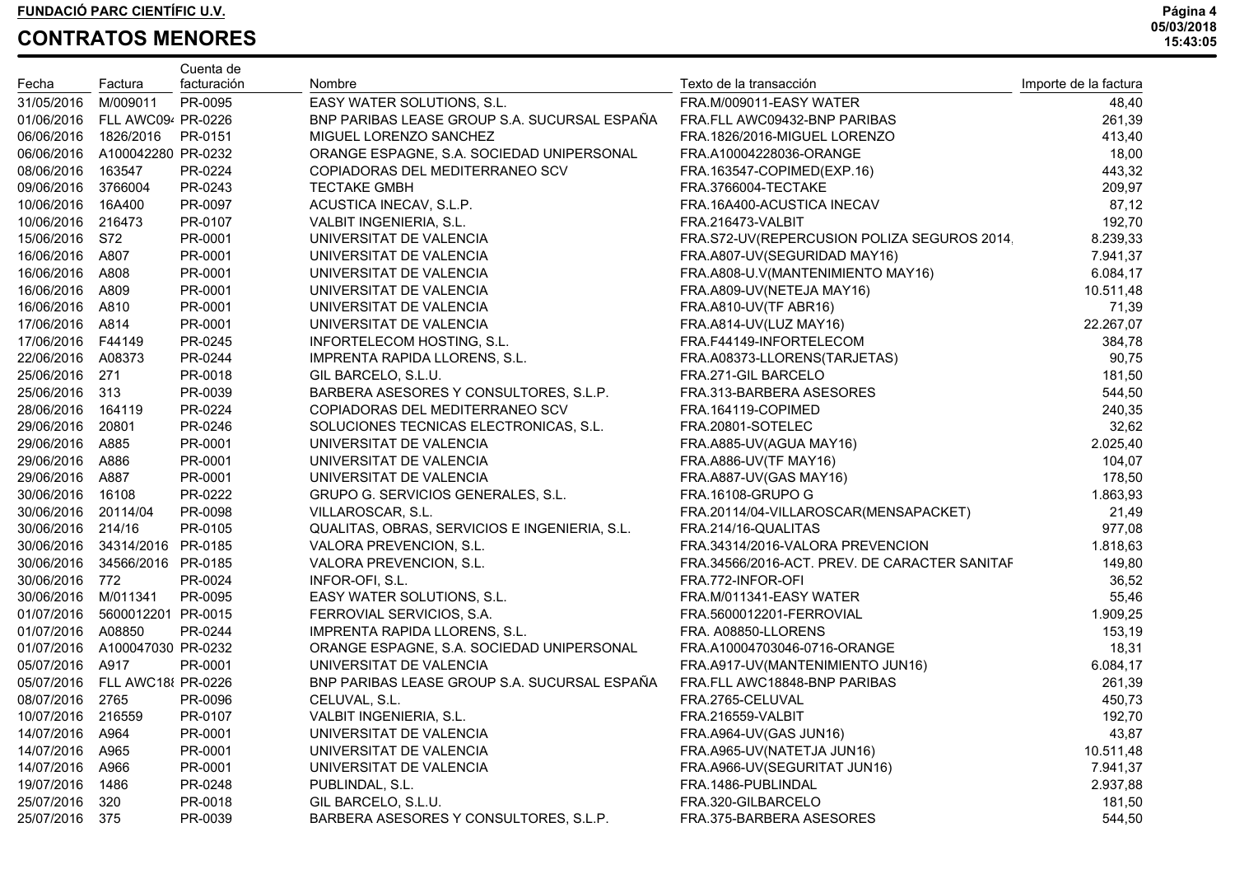|                      |                               | Cuenta de   |                                               |                                               |                       |
|----------------------|-------------------------------|-------------|-----------------------------------------------|-----------------------------------------------|-----------------------|
| Fecha                | Factura                       | facturación | Nombre                                        | Texto de la transacción                       | Importe de la factura |
| 31/05/2016           | M/009011                      | PR-0095     | EASY WATER SOLUTIONS, S.L.                    | FRA.M/009011-EASY WATER                       | 48,40                 |
|                      | 01/06/2016 FLL AWC094 PR-0226 |             | BNP PARIBAS LEASE GROUP S.A. SUCURSAL ESPAÑA  | FRA.FLL AWC09432-BNP PARIBAS                  | 261,39                |
| 06/06/2016 1826/2016 |                               | PR-0151     | MIGUEL LORENZO SANCHEZ                        | FRA.1826/2016-MIGUEL LORENZO                  | 413,40                |
|                      | 06/06/2016 A100042280 PR-0232 |             | ORANGE ESPAGNE, S.A. SOCIEDAD UNIPERSONAL     | FRA.A10004228036-ORANGE                       | 18,00                 |
| 08/06/2016 163547    |                               | PR-0224     | COPIADORAS DEL MEDITERRANEO SCV               | FRA.163547-COPIMED(EXP.16)                    | 443,32                |
| 09/06/2016 3766004   |                               | PR-0243     | <b>TECTAKE GMBH</b>                           | FRA.3766004-TECTAKE                           | 209,97                |
| 10/06/2016 16A400    |                               | PR-0097     | ACUSTICA INECAV, S.L.P.                       | FRA.16A400-ACUSTICA INECAV                    | 87,12                 |
| 10/06/2016 216473    |                               | PR-0107     | VALBIT INGENIERIA, S.L.                       | FRA.216473-VALBIT                             | 192,70                |
| 15/06/2016 S72       |                               | PR-0001     | UNIVERSITAT DE VALENCIA                       | FRA.S72-UV(REPERCUSION POLIZA SEGUROS 2014.   | 8.239,33              |
| 16/06/2016 A807      |                               | PR-0001     | UNIVERSITAT DE VALENCIA                       | FRA.A807-UV(SEGURIDAD MAY16)                  | 7.941,37              |
| 16/06/2016 A808      |                               | PR-0001     | UNIVERSITAT DE VALENCIA                       | FRA.A808-U.V(MANTENIMIENTO MAY16)             | 6.084,17              |
| 16/06/2016 A809      |                               | PR-0001     | UNIVERSITAT DE VALENCIA                       | FRA.A809-UV(NETEJA MAY16)                     | 10.511,48             |
| 16/06/2016 A810      |                               | PR-0001     | UNIVERSITAT DE VALENCIA                       | FRA.A810-UV(TF ABR16)                         | 71,39                 |
| 17/06/2016 A814      |                               | PR-0001     | UNIVERSITAT DE VALENCIA                       | FRA.A814-UV(LUZ MAY16)                        | 22.267,07             |
| 17/06/2016 F44149    |                               | PR-0245     | INFORTELECOM HOSTING, S.L.                    | FRA.F44149-INFORTELECOM                       | 384,78                |
| 22/06/2016 A08373    |                               | PR-0244     | IMPRENTA RAPIDA LLORENS, S.L.                 | FRA.A08373-LLORENS(TARJETAS)                  | 90,75                 |
| 25/06/2016 271       |                               | PR-0018     | GIL BARCELO, S.L.U.                           | FRA.271-GIL BARCELO                           | 181,50                |
| 25/06/2016 313       |                               | PR-0039     | BARBERA ASESORES Y CONSULTORES, S.L.P.        | FRA.313-BARBERA ASESORES                      | 544,50                |
| 28/06/2016 164119    |                               | PR-0224     | COPIADORAS DEL MEDITERRANEO SCV               | FRA.164119-COPIMED                            | 240,35                |
| 29/06/2016 20801     |                               | PR-0246     | SOLUCIONES TECNICAS ELECTRONICAS, S.L.        | FRA.20801-SOTELEC                             | 32,62                 |
| 29/06/2016 A885      |                               | PR-0001     | UNIVERSITAT DE VALENCIA                       | FRA.A885-UV(AGUA MAY16)                       | 2.025,40              |
| 29/06/2016 A886      |                               | PR-0001     | UNIVERSITAT DE VALENCIA                       | FRA.A886-UV(TF MAY16)                         | 104,07                |
| 29/06/2016 A887      |                               | PR-0001     | UNIVERSITAT DE VALENCIA                       | FRA.A887-UV(GAS MAY16)                        | 178,50                |
| 30/06/2016 16108     |                               | PR-0222     | GRUPO G. SERVICIOS GENERALES, S.L.            | FRA.16108-GRUPO G                             | 1.863,93              |
| 30/06/2016 20114/04  |                               | PR-0098     | VILLAROSCAR, S.L.                             | FRA.20114/04-VILLAROSCAR(MENSAPACKET)         | 21,49                 |
| 30/06/2016 214/16    |                               | PR-0105     | QUALITAS, OBRAS, SERVICIOS E INGENIERIA, S.L. | FRA.214/16-QUALITAS                           | 977,08                |
|                      | 30/06/2016 34314/2016 PR-0185 |             | VALORA PREVENCION, S.L.                       | FRA.34314/2016-VALORA PREVENCION              | 1.818,63              |
|                      | 30/06/2016 34566/2016 PR-0185 |             | VALORA PREVENCION, S.L.                       | FRA.34566/2016-ACT. PREV. DE CARACTER SANITAF | 149,80                |
| 30/06/2016 772       |                               | PR-0024     | INFOR-OFI, S.L.                               | FRA.772-INFOR-OFI                             | 36,52                 |
| 30/06/2016 M/011341  |                               | PR-0095     | EASY WATER SOLUTIONS, S.L.                    | FRA.M/011341-EASY WATER                       | 55,46                 |
|                      | 01/07/2016 5600012201 PR-0015 |             | FERROVIAL SERVICIOS, S.A.                     | FRA.5600012201-FERROVIAL                      | 1.909,25              |
| 01/07/2016 A08850    |                               | PR-0244     | IMPRENTA RAPIDA LLORENS, S.L.                 | FRA. A08850-LLORENS                           | 153,19                |
|                      | 01/07/2016 A100047030 PR-0232 |             | ORANGE ESPAGNE, S.A. SOCIEDAD UNIPERSONAL     | FRA.A10004703046-0716-ORANGE                  | 18,31                 |
| 05/07/2016 A917      |                               | PR-0001     | UNIVERSITAT DE VALENCIA                       | FRA.A917-UV(MANTENIMIENTO JUN16)              | 6.084,17              |
|                      | 05/07/2016 FLL AWC18 PR-0226  |             | BNP PARIBAS LEASE GROUP S.A. SUCURSAL ESPAÑA  | FRA.FLL AWC18848-BNP PARIBAS                  | 261,39                |
| 08/07/2016 2765      |                               | PR-0096     | CELUVAL, S.L.                                 | FRA.2765-CELUVAL                              | 450,73                |
| 10/07/2016 216559    |                               | PR-0107     | VALBIT INGENIERIA, S.L.                       | FRA.216559-VALBIT                             | 192,70                |
| 14/07/2016 A964      |                               | PR-0001     | UNIVERSITAT DE VALENCIA                       | FRA.A964-UV(GAS JUN16)                        | 43,87                 |
| 14/07/2016           | A965                          | PR-0001     | UNIVERSITAT DE VALENCIA                       | FRA.A965-UV(NATETJA JUN16)                    | 10.511,48             |
| 14/07/2016           | A966                          | PR-0001     | UNIVERSITAT DE VALENCIA                       | FRA.A966-UV(SEGURITAT JUN16)                  | 7.941,37              |
| 19/07/2016           | 1486                          | PR-0248     | PUBLINDAL, S.L.                               | FRA.1486-PUBLINDAL                            | 2.937,88              |
| 25/07/2016           | 320                           | PR-0018     | GIL BARCELO, S.L.U.                           | FRA.320-GILBARCELO                            | 181,50                |
| 25/07/2016           | 375                           | PR-0039     | BARBERA ASESORES Y CONSULTORES, S.L.P.        | FRA.375-BARBERA ASESORES                      | 544,50                |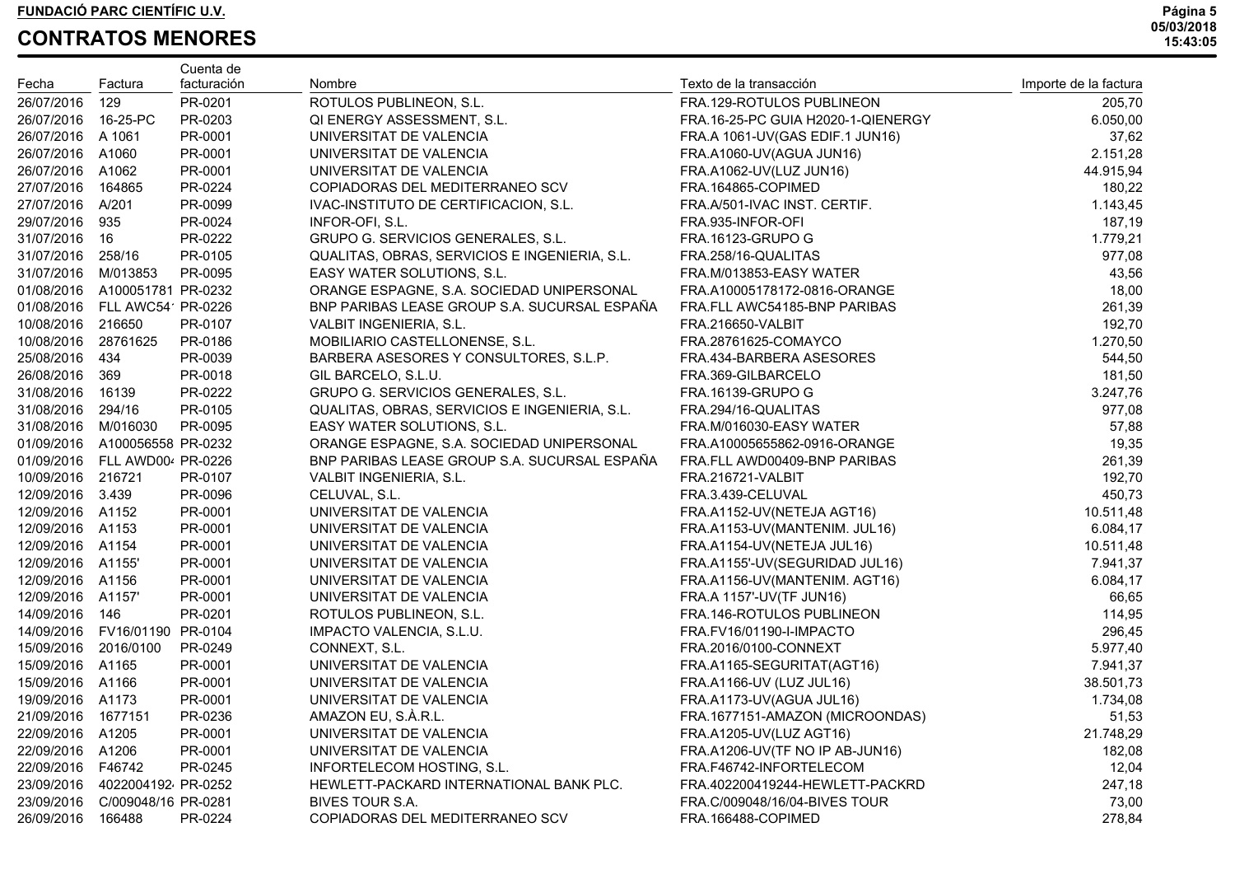|                      |                                | Cuenta de   |                                               |                                    |                       |
|----------------------|--------------------------------|-------------|-----------------------------------------------|------------------------------------|-----------------------|
| Fecha                | Factura                        | facturación | Nombre                                        | Texto de la transacción            | Importe de la factura |
| 26/07/2016           | 129                            | PR-0201     | ROTULOS PUBLINEON, S.L.                       | FRA.129-ROTULOS PUBLINEON          | 205,70                |
| 26/07/2016 16-25-PC  |                                | PR-0203     | QI ENERGY ASSESSMENT, S.L.                    | FRA.16-25-PC GUIA H2020-1-QIENERGY | 6.050,00              |
| 26/07/2016 A 1061    |                                | PR-0001     | UNIVERSITAT DE VALENCIA                       | FRA.A 1061-UV(GAS EDIF.1 JUN16)    | 37,62                 |
| 26/07/2016 A1060     |                                | PR-0001     | UNIVERSITAT DE VALENCIA                       | FRA.A1060-UV(AGUA JUN16)           | 2.151,28              |
| 26/07/2016 A1062     |                                | PR-0001     | UNIVERSITAT DE VALENCIA                       | FRA.A1062-UV(LUZ JUN16)            | 44.915,94             |
| 27/07/2016 164865    |                                | PR-0224     | COPIADORAS DEL MEDITERRANEO SCV               | FRA.164865-COPIMED                 | 180,22                |
| 27/07/2016 A/201     |                                | PR-0099     | IVAC-INSTITUTO DE CERTIFICACION, S.L.         | FRA.A/501-IVAC INST. CERTIF.       | 1.143,45              |
| 29/07/2016 935       |                                | PR-0024     | INFOR-OFI, S.L.                               | FRA.935-INFOR-OFI                  | 187,19                |
| 31/07/2016 16        |                                | PR-0222     | GRUPO G. SERVICIOS GENERALES, S.L.            | <b>FRA.16123-GRUPO G</b>           | 1.779,21              |
| 31/07/2016 258/16    |                                | PR-0105     | QUALITAS, OBRAS, SERVICIOS E INGENIERIA, S.L. | FRA.258/16-QUALITAS                | 977,08                |
| 31/07/2016 M/013853  |                                | PR-0095     | EASY WATER SOLUTIONS, S.L.                    | FRA.M/013853-EASY WATER            | 43,56                 |
|                      | 01/08/2016 A100051781 PR-0232  |             | ORANGE ESPAGNE, S.A. SOCIEDAD UNIPERSONAL     | FRA.A10005178172-0816-ORANGE       | 18,00                 |
|                      | 01/08/2016 FLL AWC54 PR-0226   |             | BNP PARIBAS LEASE GROUP S.A. SUCURSAL ESPAÑA  | FRA.FLL AWC54185-BNP PARIBAS       | 261,39                |
| 10/08/2016 216650    |                                | PR-0107     | VALBIT INGENIERIA, S.L.                       | <b>FRA.216650-VALBIT</b>           | 192,70                |
| 10/08/2016 28761625  |                                | PR-0186     | MOBILIARIO CASTELLONENSE, S.L.                | FRA.28761625-COMAYCO               | 1.270,50              |
| 25/08/2016 434       |                                | PR-0039     | BARBERA ASESORES Y CONSULTORES, S.L.P.        | FRA.434-BARBERA ASESORES           | 544,50                |
| 26/08/2016 369       |                                | PR-0018     | GIL BARCELO, S.L.U.                           | FRA.369-GILBARCELO                 | 181,50                |
| 31/08/2016 16139     |                                | PR-0222     | GRUPO G. SERVICIOS GENERALES, S.L.            | <b>FRA.16139-GRUPO G</b>           | 3.247,76              |
| 31/08/2016 294/16    |                                | PR-0105     | QUALITAS, OBRAS, SERVICIOS E INGENIERIA, S.L. | FRA.294/16-QUALITAS                | 977,08                |
| 31/08/2016 M/016030  |                                | PR-0095     | EASY WATER SOLUTIONS, S.L.                    | FRA.M/016030-EASY WATER            | 57,88                 |
|                      | 01/09/2016 A100056558 PR-0232  |             | ORANGE ESPAGNE, S.A. SOCIEDAD UNIPERSONAL     | FRA.A10005655862-0916-ORANGE       | 19,35                 |
|                      | 01/09/2016 FLL AWD00 PR-0226   |             | BNP PARIBAS LEASE GROUP S.A. SUCURSAL ESPAÑA  | FRA.FLL AWD00409-BNP PARIBAS       | 261,39                |
| 10/09/2016 216721    |                                | PR-0107     | VALBIT INGENIERIA, S.L.                       | FRA.216721-VALBIT                  | 192,70                |
| 12/09/2016 3.439     |                                | PR-0096     | CELUVAL, S.L.                                 | FRA.3.439-CELUVAL                  | 450,73                |
| 12/09/2016 A1152     |                                | PR-0001     | UNIVERSITAT DE VALENCIA                       | FRA.A1152-UV(NETEJA AGT16)         | 10.511,48             |
| 12/09/2016 A1153     |                                | PR-0001     | UNIVERSITAT DE VALENCIA                       | FRA.A1153-UV(MANTENIM. JUL16)      | 6.084,17              |
| 12/09/2016 A1154     |                                | PR-0001     | UNIVERSITAT DE VALENCIA                       | FRA.A1154-UV(NETEJA JUL16)         | 10.511,48             |
| 12/09/2016 A1155'    |                                | PR-0001     | UNIVERSITAT DE VALENCIA                       | FRA.A1155'-UV(SEGURIDAD JUL16)     | 7.941,37              |
| 12/09/2016 A1156     |                                | PR-0001     | UNIVERSITAT DE VALENCIA                       | FRA.A1156-UV(MANTENIM. AGT16)      | 6.084,17              |
| 12/09/2016 A1157'    |                                | PR-0001     | UNIVERSITAT DE VALENCIA                       | FRA.A 1157'-UV(TF JUN16)           | 66,65                 |
| 14/09/2016 146       |                                | PR-0201     | ROTULOS PUBLINEON, S.L.                       | FRA.146-ROTULOS PUBLINEON          | 114,95                |
|                      | 14/09/2016 FV16/01190 PR-0104  |             | IMPACTO VALENCIA, S.L.U.                      | FRA.FV16/01190-I-IMPACTO           | 296,45                |
| 15/09/2016 2016/0100 |                                | PR-0249     | CONNEXT, S.L.                                 | FRA.2016/0100-CONNEXT              | 5.977,40              |
| 15/09/2016 A1165     |                                | PR-0001     | UNIVERSITAT DE VALENCIA                       | FRA.A1165-SEGURITAT(AGT16)         | 7.941,37              |
| 15/09/2016 A1166     |                                | PR-0001     | UNIVERSITAT DE VALENCIA                       | FRA.A1166-UV (LUZ JUL16)           | 38.501,73             |
| 19/09/2016 A1173     |                                | PR-0001     | UNIVERSITAT DE VALENCIA                       | FRA.A1173-UV(AGUA JUL16)           | 1.734,08              |
| 21/09/2016 1677151   |                                | PR-0236     | AMAZON EU, S.À.R.L.                           | FRA.1677151-AMAZON (MICROONDAS)    | 51,53                 |
| 22/09/2016 A1205     |                                | PR-0001     | UNIVERSITAT DE VALENCIA                       | FRA.A1205-UV(LUZ AGT16)            | 21.748,29             |
| 22/09/2016 A1206     |                                | PR-0001     | UNIVERSITAT DE VALENCIA                       | FRA.A1206-UV(TF NO IP AB-JUN16)    | 182,08                |
| 22/09/2016 F46742    |                                | PR-0245     | INFORTELECOM HOSTING, S.L.                    | FRA.F46742-INFORTELECOM            | 12,04                 |
|                      | 23/09/2016  4022004192 PR-0252 |             | HEWLETT-PACKARD INTERNATIONAL BANK PLC.       | FRA.402200419244-HEWLETT-PACKRD    | 247,18                |
|                      | 23/09/2016 C/009048/16 PR-0281 |             | BIVES TOUR S.A.                               | FRA.C/009048/16/04-BIVES TOUR      | 73,00                 |
| 26/09/2016           | 166488                         | PR-0224     | COPIADORAS DEL MEDITERRANEO SCV               | FRA.166488-COPIMED                 | 278,84                |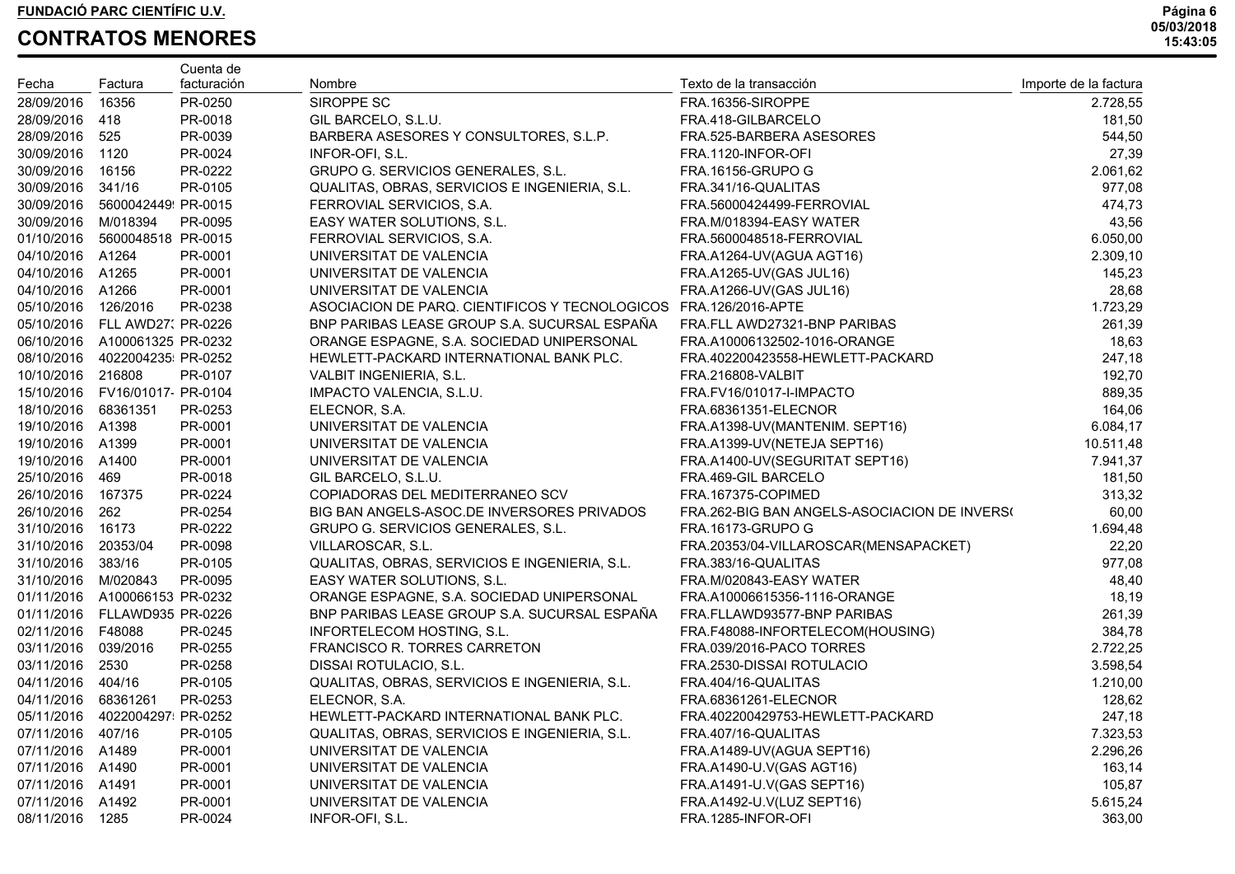| Fecha               | Factura                         | Cuenta de<br>facturación | Nombre                                         | Texto de la transacción                      | Importe de la factura |
|---------------------|---------------------------------|--------------------------|------------------------------------------------|----------------------------------------------|-----------------------|
| 28/09/2016          | 16356                           | PR-0250                  | SIROPPE SC                                     | FRA.16356-SIROPPE                            | 2.728,55              |
| 28/09/2016 418      |                                 | PR-0018                  | GIL BARCELO, S.L.U.                            | FRA.418-GILBARCELO                           | 181,50                |
| 28/09/2016 525      |                                 | PR-0039                  | BARBERA ASESORES Y CONSULTORES, S.L.P.         | FRA.525-BARBERA ASESORES                     | 544,50                |
| 30/09/2016 1120     |                                 | PR-0024                  | INFOR-OFI, S.L.                                | FRA.1120-INFOR-OFI                           | 27,39                 |
| 30/09/2016 16156    |                                 | PR-0222                  | GRUPO G. SERVICIOS GENERALES, S.L.             | <b>FRA.16156-GRUPO G</b>                     | 2.061,62              |
| 30/09/2016 341/16   |                                 | PR-0105                  | QUALITAS, OBRAS, SERVICIOS E INGENIERIA, S.L.  | FRA.341/16-QUALITAS                          | 977,08                |
|                     | 30/09/2016  5600042449  PR-0015 |                          | FERROVIAL SERVICIOS, S.A.                      | FRA.56000424499-FERROVIAL                    | 474,73                |
| 30/09/2016 M/018394 |                                 | PR-0095                  | EASY WATER SOLUTIONS, S.L.                     | FRA.M/018394-EASY WATER                      | 43,56                 |
|                     | 01/10/2016 5600048518 PR-0015   |                          | FERROVIAL SERVICIOS, S.A.                      | FRA.5600048518-FERROVIAL                     | 6.050,00              |
| 04/10/2016 A1264    |                                 | PR-0001                  | UNIVERSITAT DE VALENCIA                        | FRA.A1264-UV(AGUA AGT16)                     | 2.309,10              |
| 04/10/2016 A1265    |                                 | PR-0001                  | UNIVERSITAT DE VALENCIA                        | FRA.A1265-UV(GAS JUL16)                      | 145,23                |
| 04/10/2016 A1266    |                                 | PR-0001                  | UNIVERSITAT DE VALENCIA                        | FRA.A1266-UV(GAS JUL16)                      | 28,68                 |
| 05/10/2016 126/2016 |                                 | PR-0238                  | ASOCIACION DE PARQ. CIENTIFICOS Y TECNOLOGICOS | FRA.126/2016-APTE                            | 1.723,29              |
|                     | 05/10/2016 FLL AWD27: PR-0226   |                          | BNP PARIBAS LEASE GROUP S.A. SUCURSAL ESPAÑA   | FRA.FLL AWD27321-BNP PARIBAS                 | 261,39                |
|                     | 06/10/2016 A100061325 PR-0232   |                          | ORANGE ESPAGNE, S.A. SOCIEDAD UNIPERSONAL      | FRA.A10006132502-1016-ORANGE                 | 18,63                 |
|                     | 08/10/2016  4022004235 PR-0252  |                          | HEWLETT-PACKARD INTERNATIONAL BANK PLC.        | FRA.402200423558-HEWLETT-PACKARD             | 247,18                |
| 10/10/2016 216808   |                                 | PR-0107                  | VALBIT INGENIERIA, S.L.                        | FRA.216808-VALBIT                            | 192,70                |
|                     | 15/10/2016 FV16/01017 PR-0104   |                          | IMPACTO VALENCIA, S.L.U.                       | FRA.FV16/01017-I-IMPACTO                     | 889,35                |
| 18/10/2016 68361351 |                                 | PR-0253                  | ELECNOR, S.A.                                  | FRA.68361351-ELECNOR                         | 164,06                |
| 19/10/2016 A1398    |                                 | PR-0001                  | UNIVERSITAT DE VALENCIA                        | FRA.A1398-UV(MANTENIM. SEPT16)               | 6.084,17              |
| 19/10/2016 A1399    |                                 | PR-0001                  | UNIVERSITAT DE VALENCIA                        | FRA.A1399-UV(NETEJA SEPT16)                  | 10.511,48             |
| 19/10/2016 A1400    |                                 | PR-0001                  | UNIVERSITAT DE VALENCIA                        | FRA.A1400-UV(SEGURITAT SEPT16)               | 7.941,37              |
| 25/10/2016 469      |                                 | PR-0018                  | GIL BARCELO, S.L.U.                            | FRA.469-GIL BARCELO                          | 181,50                |
| 26/10/2016 167375   |                                 | PR-0224                  | COPIADORAS DEL MEDITERRANEO SCV                | FRA.167375-COPIMED                           | 313,32                |
| 26/10/2016 262      |                                 | PR-0254                  | BIG BAN ANGELS-ASOC.DE INVERSORES PRIVADOS     | FRA.262-BIG BAN ANGELS-ASOCIACION DE INVERSO | 60,00                 |
| 31/10/2016 16173    |                                 | PR-0222                  | GRUPO G. SERVICIOS GENERALES, S.L.             | <b>FRA.16173-GRUPO G</b>                     | 1.694,48              |
| 31/10/2016 20353/04 |                                 | PR-0098                  | VILLAROSCAR, S.L.                              | FRA.20353/04-VILLAROSCAR(MENSAPACKET)        | 22,20                 |
| 31/10/2016 383/16   |                                 | PR-0105                  | QUALITAS, OBRAS, SERVICIOS E INGENIERIA, S.L.  | FRA.383/16-QUALITAS                          | 977,08                |
| 31/10/2016 M/020843 |                                 | PR-0095                  | EASY WATER SOLUTIONS, S.L.                     | FRA.M/020843-EASY WATER                      | 48,40                 |
|                     | 01/11/2016 A100066153 PR-0232   |                          | ORANGE ESPAGNE, S.A. SOCIEDAD UNIPERSONAL      | FRA.A10006615356-1116-ORANGE                 | 18,19                 |
|                     | 01/11/2016 FLLAWD935 PR-0226    |                          | BNP PARIBAS LEASE GROUP S.A. SUCURSAL ESPAÑA   | FRA.FLLAWD93577-BNP PARIBAS                  | 261,39                |
| 02/11/2016 F48088   |                                 | PR-0245                  | INFORTELECOM HOSTING, S.L.                     | FRA.F48088-INFORTELECOM(HOUSING)             | 384,78                |
| 03/11/2016 039/2016 |                                 | PR-0255                  | FRANCISCO R. TORRES CARRETON                   | FRA.039/2016-PACO TORRES                     | 2.722,25              |
| 03/11/2016 2530     |                                 | PR-0258                  | DISSAI ROTULACIO, S.L.                         | FRA.2530-DISSAI ROTULACIO                    | 3.598,54              |
| 04/11/2016 404/16   |                                 | PR-0105                  | QUALITAS, OBRAS, SERVICIOS E INGENIERIA, S.L.  | FRA.404/16-QUALITAS                          | 1.210,00              |
| 04/11/2016 68361261 |                                 | PR-0253                  | ELECNOR, S.A.                                  | FRA.68361261-ELECNOR                         | 128,62                |
|                     | 05/11/2016  4022004297  PR-0252 |                          | HEWLETT-PACKARD INTERNATIONAL BANK PLC.        | FRA.402200429753-HEWLETT-PACKARD             | 247,18                |
| 07/11/2016 407/16   |                                 | PR-0105                  | QUALITAS, OBRAS, SERVICIOS E INGENIERIA, S.L.  | FRA.407/16-QUALITAS                          | 7.323,53              |
| 07/11/2016 A1489    |                                 | PR-0001                  | UNIVERSITAT DE VALENCIA                        | FRA.A1489-UV(AGUA SEPT16)                    | 2.296,26              |
| 07/11/2016 A1490    |                                 | PR-0001                  | UNIVERSITAT DE VALENCIA                        | FRA.A1490-U.V(GAS AGT16)                     | 163,14                |
| 07/11/2016          | A1491                           | PR-0001                  | UNIVERSITAT DE VALENCIA                        | FRA.A1491-U.V(GAS SEPT16)                    | 105,87                |
| 07/11/2016          | A1492                           | PR-0001                  | UNIVERSITAT DE VALENCIA                        | FRA.A1492-U.V(LUZ SEPT16)                    | 5.615,24              |
| 08/11/2016          | 1285                            | PR-0024                  | INFOR-OFI, S.L.                                | FRA.1285-INFOR-OFI                           | 363,00                |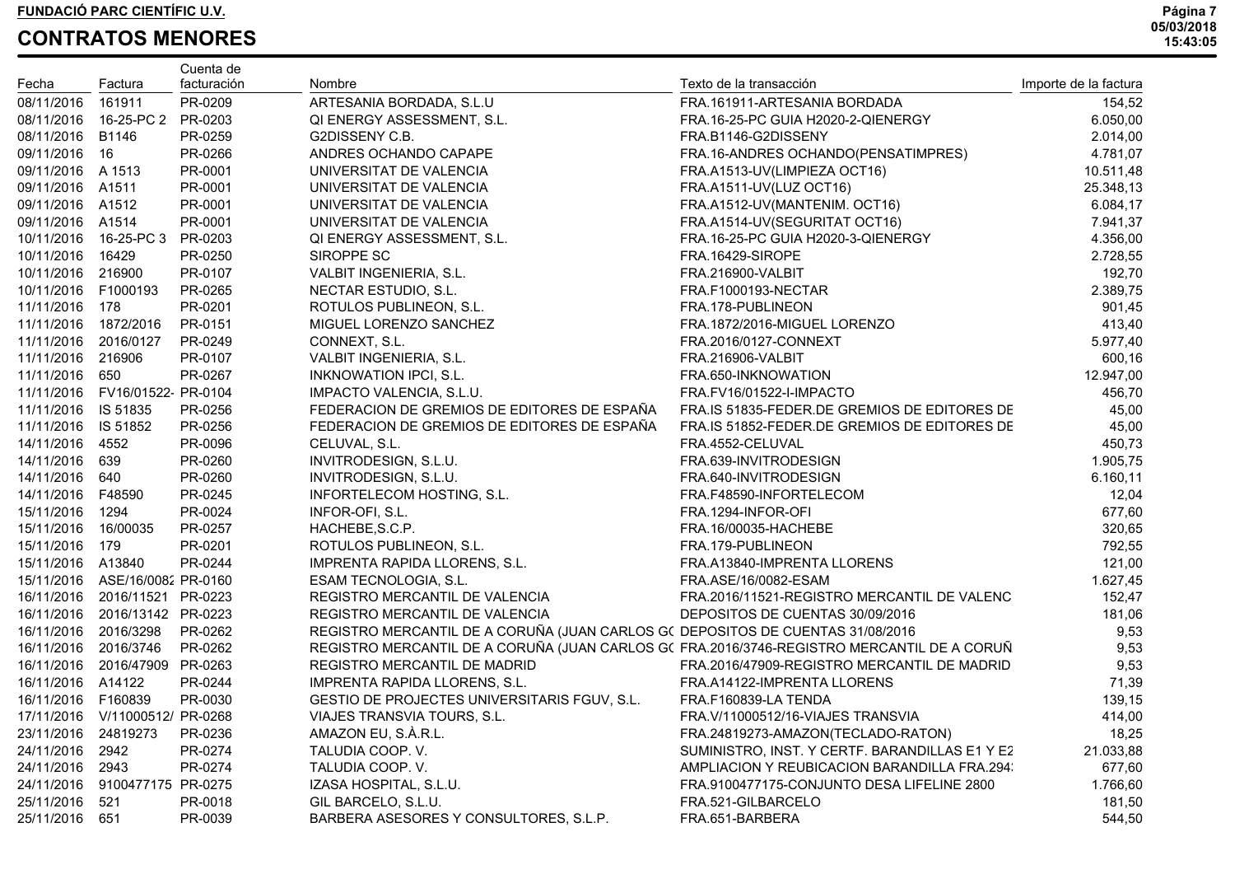|                      |                                 | Cuenta de   |                                                                                           |                                                |                       |
|----------------------|---------------------------------|-------------|-------------------------------------------------------------------------------------------|------------------------------------------------|-----------------------|
| Fecha                | Factura                         | facturación | Nombre                                                                                    | Texto de la transacción                        | Importe de la factura |
| 08/11/2016           | 161911                          | PR-0209     | ARTESANIA BORDADA, S.L.U                                                                  | FRA.161911-ARTESANIA BORDADA                   | 154,52                |
|                      | 08/11/2016  16-25-PC 2  PR-0203 |             | QI ENERGY ASSESSMENT, S.L.                                                                | FRA.16-25-PC GUIA H2020-2-QIENERGY             | 6.050,00              |
| 08/11/2016 B1146     |                                 | PR-0259     | G2DISSENY C.B.                                                                            | FRA.B1146-G2DISSENY                            | 2.014,00              |
| 09/11/2016 16        |                                 | PR-0266     | ANDRES OCHANDO CAPAPE                                                                     | FRA.16-ANDRES OCHANDO(PENSATIMPRES)            | 4.781,07              |
| 09/11/2016 A 1513    |                                 | PR-0001     | UNIVERSITAT DE VALENCIA                                                                   | FRA.A1513-UV(LIMPIEZA OCT16)                   | 10.511,48             |
| 09/11/2016 A1511     |                                 | PR-0001     | UNIVERSITAT DE VALENCIA                                                                   | FRA.A1511-UV(LUZ OCT16)                        | 25.348,13             |
| 09/11/2016 A1512     |                                 | PR-0001     | UNIVERSITAT DE VALENCIA                                                                   | FRA.A1512-UV(MANTENIM. OCT16)                  | 6.084,17              |
| 09/11/2016 A1514     |                                 | PR-0001     | UNIVERSITAT DE VALENCIA                                                                   | FRA.A1514-UV(SEGURITAT OCT16)                  | 7.941,37              |
|                      | 10/11/2016 16-25-PC 3           | PR-0203     | QI ENERGY ASSESSMENT, S.L.                                                                | FRA.16-25-PC GUIA H2020-3-QIENERGY             | 4.356,00              |
| 10/11/2016 16429     |                                 | PR-0250     | SIROPPE SC                                                                                | FRA.16429-SIROPE                               | 2.728,55              |
| 10/11/2016 216900    |                                 | PR-0107     | VALBIT INGENIERIA, S.L.                                                                   | <b>FRA.216900-VALBIT</b>                       | 192,70                |
| 10/11/2016 F1000193  |                                 | PR-0265     | NECTAR ESTUDIO, S.L.                                                                      | FRA.F1000193-NECTAR                            | 2.389,75              |
| 11/11/2016 178       |                                 | PR-0201     | ROTULOS PUBLINEON, S.L.                                                                   | FRA.178-PUBLINEON                              | 901,45                |
| 11/11/2016 1872/2016 |                                 | PR-0151     | MIGUEL LORENZO SANCHEZ                                                                    | FRA.1872/2016-MIGUEL LORENZO                   | 413,40                |
| 11/11/2016 2016/0127 |                                 | PR-0249     | CONNEXT, S.L.                                                                             | FRA.2016/0127-CONNEXT                          | 5.977,40              |
| 11/11/2016 216906    |                                 | PR-0107     | VALBIT INGENIERIA, S.L.                                                                   | <b>FRA.216906-VALBIT</b>                       | 600,16                |
| 11/11/2016 650       |                                 | PR-0267     | <b>INKNOWATION IPCI, S.L.</b>                                                             | FRA.650-INKNOWATION                            | 12.947,00             |
|                      | 11/11/2016 FV16/01522 PR-0104   |             | IMPACTO VALENCIA, S.L.U.                                                                  | FRA.FV16/01522-I-IMPACTO                       | 456,70                |
| 11/11/2016 IS 51835  |                                 | PR-0256     | FEDERACION DE GREMIOS DE EDITORES DE ESPAÑA                                               | FRA.IS 51835-FEDER.DE GREMIOS DE EDITORES DE   | 45,00                 |
| 11/11/2016 IS 51852  |                                 | PR-0256     | FEDERACION DE GREMIOS DE EDITORES DE ESPAÑA                                               | FRA.IS 51852-FEDER.DE GREMIOS DE EDITORES DE   | 45,00                 |
| 14/11/2016 4552      |                                 | PR-0096     | CELUVAL, S.L.                                                                             | FRA.4552-CELUVAL                               | 450,73                |
| 14/11/2016 639       |                                 | PR-0260     | INVITRODESIGN, S.L.U.                                                                     | FRA.639-INVITRODESIGN                          | 1.905,75              |
| 14/11/2016 640       |                                 | PR-0260     | INVITRODESIGN, S.L.U.                                                                     | FRA.640-INVITRODESIGN                          | 6.160,11              |
| 14/11/2016 F48590    |                                 | PR-0245     | INFORTELECOM HOSTING, S.L.                                                                | FRA.F48590-INFORTELECOM                        | 12,04                 |
| 15/11/2016 1294      |                                 | PR-0024     | INFOR-OFI, S.L.                                                                           | FRA.1294-INFOR-OFI                             | 677,60                |
| 15/11/2016           | 16/00035                        | PR-0257     | HACHEBE, S.C.P.                                                                           | FRA.16/00035-HACHEBE                           | 320,65                |
| 15/11/2016 179       |                                 | PR-0201     | ROTULOS PUBLINEON, S.L.                                                                   | FRA.179-PUBLINEON                              | 792,55                |
| 15/11/2016 A13840    |                                 | PR-0244     | IMPRENTA RAPIDA LLORENS, S.L.                                                             | FRA.A13840-IMPRENTA LLORENS                    | 121,00                |
|                      | 15/11/2016 ASE/16/0082 PR-0160  |             | ESAM TECNOLOGIA, S.L.                                                                     | FRA.ASE/16/0082-ESAM                           | 1.627,45              |
| 16/11/2016           | 2016/11521 PR-0223              |             | REGISTRO MERCANTIL DE VALENCIA                                                            | FRA.2016/11521-REGISTRO MERCANTIL DE VALENC    | 152,47                |
| 16/11/2016           | 2016/13142 PR-0223              |             | REGISTRO MERCANTIL DE VALENCIA                                                            | DEPOSITOS DE CUENTAS 30/09/2016                | 181,06                |
| 16/11/2016           | 2016/3298                       | PR-0262     | REGISTRO MERCANTIL DE A CORUÑA (JUAN CARLOS G( DEPOSITOS DE CUENTAS 31/08/2016            |                                                | 9,53                  |
| 16/11/2016           | 2016/3746                       | PR-0262     | REGISTRO MERCANTIL DE A CORUÑA (JUAN CARLOS G(FRA.2016/3746-REGISTRO MERCANTIL DE A CORUÑ |                                                | 9,53                  |
| 16/11/2016           | 2016/47909 PR-0263              |             | REGISTRO MERCANTIL DE MADRID                                                              | FRA.2016/47909-REGISTRO MERCANTIL DE MADRID    | 9,53                  |
| 16/11/2016 A14122    |                                 | PR-0244     | IMPRENTA RAPIDA LLORENS, S.L.                                                             | FRA.A14122-IMPRENTA LLORENS                    | 71,39                 |
| 16/11/2016 F160839   |                                 | PR-0030     | GESTIO DE PROJECTES UNIVERSITARIS FGUV, S.L.                                              | FRA.F160839-LA TENDA                           | 139,15                |
|                      | 17/11/2016 V/11000512/ PR-0268  |             | VIAJES TRANSVIA TOURS, S.L.                                                               | FRA.V/11000512/16-VIAJES TRANSVIA              | 414,00                |
| 23/11/2016 24819273  |                                 | PR-0236     | AMAZON EU, S.À.R.L.                                                                       | FRA.24819273-AMAZON(TECLADO-RATON)             | 18,25                 |
| 24/11/2016           | 2942                            | PR-0274     | TALUDIA COOP. V.                                                                          | SUMINISTRO, INST. Y CERTF. BARANDILLAS E1 Y E2 | 21.033,88             |
| 24/11/2016           | 2943                            | PR-0274     | TALUDIA COOP. V.                                                                          | AMPLIACION Y REUBICACION BARANDILLA FRA.294.   | 677,60                |
| 24/11/2016           | 9100477175 PR-0275              |             | IZASA HOSPITAL, S.L.U.                                                                    | FRA.9100477175-CONJUNTO DESA LIFELINE 2800     | 1.766,60              |
| 25/11/2016           | 521                             | PR-0018     | GIL BARCELO, S.L.U.                                                                       | FRA.521-GILBARCELO                             | 181,50                |
| 25/11/2016           | 651                             | PR-0039     | BARBERA ASESORES Y CONSULTORES, S.L.P.                                                    | FRA.651-BARBERA                                | 544,50                |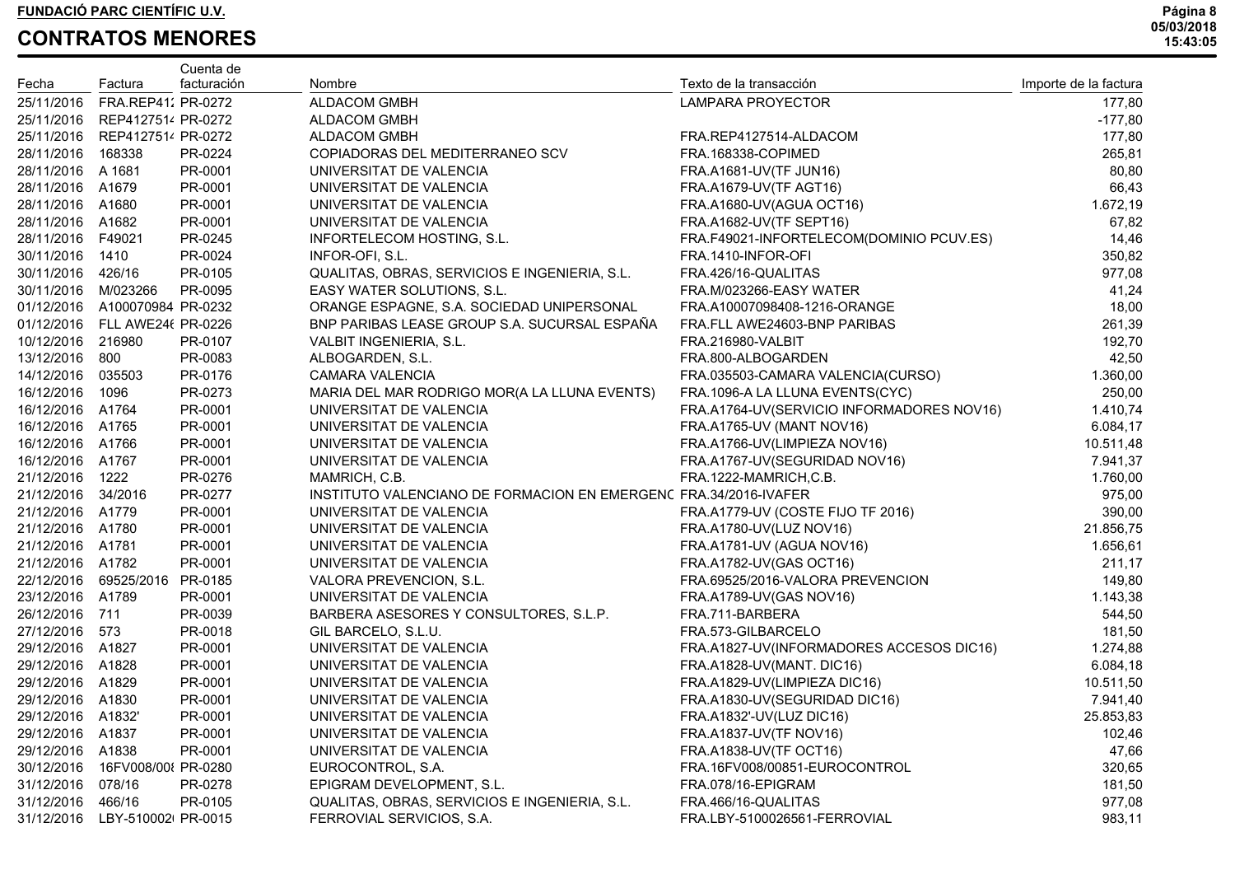| Fecha               | Factura                       | Cuenta de<br>facturación | Nombre                                                           | Texto de la transacción                   | Importe de la factura |
|---------------------|-------------------------------|--------------------------|------------------------------------------------------------------|-------------------------------------------|-----------------------|
| 25/11/2016          | FRA.REP41: PR-0272            |                          | <b>ALDACOM GMBH</b>                                              | LAMPARA PROYECTOR                         | 177,80                |
|                     | 25/11/2016 REP412751/ PR-0272 |                          | ALDACOM GMBH                                                     |                                           | $-177,80$             |
|                     | 25/11/2016 REP4127514 PR-0272 |                          | <b>ALDACOM GMBH</b>                                              | FRA.REP4127514-ALDACOM                    | 177,80                |
| 28/11/2016          | 168338                        | PR-0224                  | COPIADORAS DEL MEDITERRANEO SCV                                  | FRA.168338-COPIMED                        | 265,81                |
| 28/11/2016 A 1681   |                               | PR-0001                  | UNIVERSITAT DE VALENCIA                                          | FRA.A1681-UV(TF JUN16)                    | 80,80                 |
| 28/11/2016 A1679    |                               | PR-0001                  | UNIVERSITAT DE VALENCIA                                          | FRA.A1679-UV(TF AGT16)                    | 66,43                 |
| 28/11/2016 A1680    |                               | PR-0001                  | UNIVERSITAT DE VALENCIA                                          | FRA.A1680-UV(AGUA OCT16)                  | 1.672,19              |
| 28/11/2016 A1682    |                               | PR-0001                  | UNIVERSITAT DE VALENCIA                                          | FRA.A1682-UV(TF SEPT16)                   | 67,82                 |
| 28/11/2016 F49021   |                               | PR-0245                  | INFORTELECOM HOSTING, S.L.                                       | FRA.F49021-INFORTELECOM(DOMINIO PCUV.ES)  | 14,46                 |
| 30/11/2016 1410     |                               | PR-0024                  | INFOR-OFI, S.L.                                                  | FRA.1410-INFOR-OFI                        | 350,82                |
| 30/11/2016 426/16   |                               | PR-0105                  | QUALITAS, OBRAS, SERVICIOS E INGENIERIA, S.L.                    | FRA.426/16-QUALITAS                       | 977,08                |
| 30/11/2016 M/023266 |                               | PR-0095                  | EASY WATER SOLUTIONS, S.L.                                       | FRA.M/023266-EASY WATER                   | 41,24                 |
|                     | 01/12/2016 A100070984 PR-0232 |                          | ORANGE ESPAGNE, S.A. SOCIEDAD UNIPERSONAL                        | FRA.A10007098408-1216-ORANGE              | 18,00                 |
|                     | 01/12/2016 FLL AWE24( PR-0226 |                          | BNP PARIBAS LEASE GROUP S.A. SUCURSAL ESPAÑA                     | FRA.FLL AWE24603-BNP PARIBAS              | 261,39                |
| 10/12/2016 216980   |                               | PR-0107                  | VALBIT INGENIERIA, S.L.                                          | <b>FRA.216980-VALBIT</b>                  | 192,70                |
| 13/12/2016 800      |                               | PR-0083                  | ALBOGARDEN, S.L.                                                 | FRA.800-ALBOGARDEN                        | 42,50                 |
| 14/12/2016 035503   |                               | PR-0176                  | CAMARA VALENCIA                                                  | FRA.035503-CAMARA VALENCIA(CURSO)         | 1.360,00              |
| 16/12/2016 1096     |                               | PR-0273                  | MARIA DEL MAR RODRIGO MOR(A LA LLUNA EVENTS)                     | FRA.1096-A LA LLUNA EVENTS(CYC)           | 250,00                |
| 16/12/2016 A1764    |                               | PR-0001                  | UNIVERSITAT DE VALENCIA                                          | FRA.A1764-UV(SERVICIO INFORMADORES NOV16) | 1.410,74              |
| 16/12/2016 A1765    |                               | PR-0001                  | UNIVERSITAT DE VALENCIA                                          | FRA.A1765-UV (MANT NOV16)                 | 6.084,17              |
| 16/12/2016 A1766    |                               | PR-0001                  | UNIVERSITAT DE VALENCIA                                          | FRA.A1766-UV(LIMPIEZA NOV16)              | 10.511,48             |
| 16/12/2016 A1767    |                               | PR-0001                  | UNIVERSITAT DE VALENCIA                                          | FRA.A1767-UV(SEGURIDAD NOV16)             | 7.941,37              |
| 21/12/2016          | 1222                          | PR-0276                  | MAMRICH, C.B.                                                    | FRA.1222-MAMRICH,C.B.                     | 1.760,00              |
| 21/12/2016 34/2016  |                               | PR-0277                  | INSTITUTO VALENCIANO DE FORMACION EN EMERGENC FRA.34/2016-IVAFER |                                           | 975,00                |
| 21/12/2016 A1779    |                               | PR-0001                  | UNIVERSITAT DE VALENCIA                                          | FRA.A1779-UV (COSTE FIJO TF 2016)         | 390,00                |
| 21/12/2016 A1780    |                               | PR-0001                  | UNIVERSITAT DE VALENCIA                                          | FRA.A1780-UV(LUZ NOV16)                   | 21.856,75             |
| 21/12/2016 A1781    |                               | PR-0001                  | UNIVERSITAT DE VALENCIA                                          | FRA.A1781-UV (AGUA NOV16)                 | 1.656,61              |
| 21/12/2016 A1782    |                               | PR-0001                  | UNIVERSITAT DE VALENCIA                                          | FRA.A1782-UV(GAS OCT16)                   | 211,17                |
|                     | 22/12/2016 69525/2016         | PR-0185                  | VALORA PREVENCION, S.L.                                          | FRA.69525/2016-VALORA PREVENCION          | 149,80                |
| 23/12/2016 A1789    |                               | PR-0001                  | UNIVERSITAT DE VALENCIA                                          | FRA.A1789-UV(GAS NOV16)                   | 1.143,38              |
| 26/12/2016 711      |                               | PR-0039                  | BARBERA ASESORES Y CONSULTORES, S.L.P.                           | FRA.711-BARBERA                           | 544,50                |
| 27/12/2016 573      |                               | PR-0018                  | GIL BARCELO, S.L.U.                                              | FRA.573-GILBARCELO                        | 181,50                |
| 29/12/2016 A1827    |                               | PR-0001                  | UNIVERSITAT DE VALENCIA                                          | FRA.A1827-UV(INFORMADORES ACCESOS DIC16)  | 1.274,88              |
| 29/12/2016 A1828    |                               | PR-0001                  | UNIVERSITAT DE VALENCIA                                          | FRA.A1828-UV(MANT. DIC16)                 | 6.084,18              |
| 29/12/2016 A1829    |                               | PR-0001                  | UNIVERSITAT DE VALENCIA                                          | FRA.A1829-UV(LIMPIEZA DIC16)              | 10.511,50             |
| 29/12/2016 A1830    |                               | PR-0001                  | UNIVERSITAT DE VALENCIA                                          | FRA.A1830-UV(SEGURIDAD DIC16)             | 7.941,40              |
| 29/12/2016 A1832'   |                               | PR-0001                  | UNIVERSITAT DE VALENCIA                                          | FRA.A1832'-UV(LUZ DIC16)                  | 25.853,83             |
| 29/12/2016 A1837    |                               | PR-0001                  | UNIVERSITAT DE VALENCIA                                          | FRA.A1837-UV(TF NOV16)                    | 102,46                |
| 29/12/2016          | A1838                         | PR-0001                  | UNIVERSITAT DE VALENCIA                                          | FRA.A1838-UV(TF OCT16)                    | 47,66                 |
| 30/12/2016          | 16FV008/00 PR-0280            |                          | EUROCONTROL, S.A.                                                | FRA.16FV008/00851-EUROCONTROL             | 320,65                |
| 31/12/2016          | 078/16                        | PR-0278                  | EPIGRAM DEVELOPMENT, S.L.                                        | FRA.078/16-EPIGRAM                        | 181,50                |
| 31/12/2016          | 466/16                        | PR-0105                  | QUALITAS, OBRAS, SERVICIOS E INGENIERIA, S.L.                    | FRA.466/16-QUALITAS                       | 977,08                |
| 31/12/2016          | LBY-510002 PR-0015            |                          | FERROVIAL SERVICIOS, S.A.                                        | FRA.LBY-5100026561-FERROVIAL              | 983,11                |